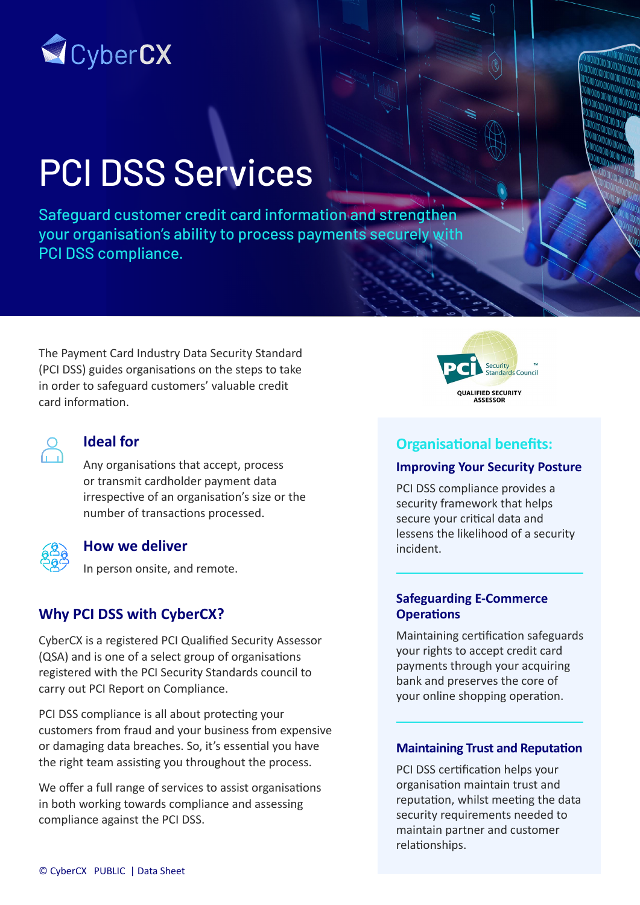

# PCI DSS Services

Safeguard customer credit card information and strengthen your organisation's ability to process payments securely with PCI DSS compliance.

The Payment Card Industry Data Security Standard (PCI DSS) guides organisations on the steps to take in order to safeguard customers' valuable credit card information.

## **Ideal for**

Any organisations that accept, process or transmit cardholder payment data irrespective of an organisation's size or the number of transactions processed.

### **How we deliver**

In person onsite, and remote.

## **Why PCI DSS with CyberCX?**

CyberCX is a registered PCI Qualified Security Assessor (QSA) and is one of a select group of organisations registered with the PCI Security Standards council to carry out PCI Report on Compliance.

PCI DSS compliance is all about protecting your customers from fraud and your business from expensive or damaging data breaches. So, it's essential you have the right team assisting you throughout the process.

We offer a full range of services to assist organisations in both working towards compliance and assessing compliance against the PCI DSS.



## **Organisational benefits:**

#### **Improving Your Security Posture**

PCI DSS compliance provides a security framework that helps secure your critical data and lessens the likelihood of a security incident.

#### **Safeguarding E-Commerce Operations**

Maintaining certification safeguards your rights to accept credit card payments through your acquiring bank and preserves the core of your online shopping operation.

#### **Maintaining Trust and Reputation**

PCI DSS certification helps your organisation maintain trust and reputation, whilst meeting the data security requirements needed to maintain partner and customer relationships.